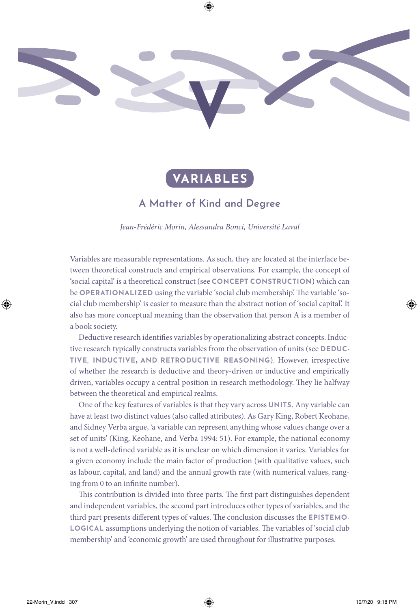

# **VARIABLES**

## **A Matter of Kind and Degree**

*Jean-Frédéric Morin, Alessandra Bonci, Université Laval*

Variables are measurable representations. As such, they are located at the interface between theoretical constructs and empirical observations. For example, the concept of 'social capital' is a theoretical construct (see **CONCEPT CONSTRUCTION**) which can be **OPERATIONALIZED** using the variable 'social club membership'. The variable 'social club membership' is easier to measure than the abstract notion of 'social capital'. It also has more conceptual meaning than the observation that person A is a member of a book society.

Deductive research identifes variables by operationalizing abstract concepts. Inductive research typically constructs variables from the observation of units (see **DEDUC-TIVE, INDUCTIVE, AND RETRODUCTIVE REASONING**). However, irrespective of whether the research is deductive and theory-driven or inductive and empirically driven, variables occupy a central position in research methodology. They lie halfway between the theoretical and empirical realms.

One of the key features of variables is that they vary across **UNITS**. Any variable can have at least two distinct values (also called attributes). As Gary King, Robert Keohane, and Sidney Verba argue, 'a variable can represent anything whose values change over a set of units' (King, Keohane, and Verba 1994: 51). For example, the national economy is not a well-defned variable as it is unclear on which dimension it varies. Variables for a given economy include the main factor of production (with qualitative values, such as labour, capital, and land) and the annual growth rate (with numerical values, ranging from 0 to an infnite number).

This contribution is divided into three parts. The first part distinguishes dependent and independent variables, the second part introduces other types of variables, and the third part presents different types of values. The conclusion discusses the **EPISTEMO**-**LOGICAL** assumptions underlying the notion of variables. The variables of 'social club membership' and 'economic growth' are used throughout for illustrative purposes.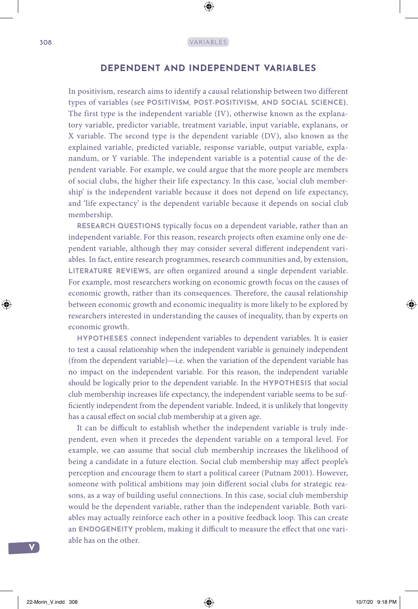### **DEPENDENT AND INDEPENDENT VARIABLES**

In positivism, research aims to identify a causal relationship between two different types of variables (see **POSITIVISM, POST-POSITIVISM, AND SOCIAL SCIENCE)**. The first type is the independent variable (IV), otherwise known as the explanatory variable, predictor variable, treatment variable, input variable, explanans, or X variable. The second type is the dependent variable (DV), also known as the explained variable, predicted variable, response variable, output variable, explanandum, or Y variable. The independent variable is a potential cause of the dependent variable. For example, we could argue that the more people are members of social clubs, the higher their life expectancy. In this case, 'social club membership' is the independent variable because it does not depend on life expectancy, and 'life expectancy' is the dependent variable because it depends on social club membership.

**RESEARCH QUESTIONS** typically focus on a dependent variable, rather than an independent variable. For this reason, research projects often examine only one dependent variable, although they may consider several diferent independent variables. In fact, entire research programmes, research communities and, by extension, LITERATURE REVIEWS, are often organized around a single dependent variable. For example, most researchers working on economic growth focus on the causes of economic growth, rather than its consequences. Therefore, the causal relationship between economic growth and economic inequality is more likely to be explored by researchers interested in understanding the causes of inequality, than by experts on economic growth.

**HYPOTHESES** connect independent variables to dependent variables. It is easier to test a causal relationship when the independent variable is genuinely independent (from the dependent variable)—i.e. when the variation of the dependent variable has no impact on the independent variable. For this reason, the independent variable should be logically prior to the dependent variable. In the **HYPOTHESIS** that social club membership increases life expectancy, the independent variable seems to be suffciently independent from the dependent variable. Indeed, it is unlikely that longevity has a causal efect on social club membership at a given age.

It can be difficult to establish whether the independent variable is truly independent, even when it precedes the dependent variable on a temporal level. For example, we can assume that social club membership increases the likelihood of being a candidate in a future election. Social club membership may afect people's perception and encourage them to start a political career (Putnam 2001). However, someone with political ambitions may join diferent social clubs for strategic reasons, as a way of building useful connections. In this case, social club membership would be the dependent variable, rather than the independent variable. Both variables may actually reinforce each other in a positive feedback loop. This can create an **ENDOGENEITY** problem, making it difficult to measure the effect that one variable has on the other.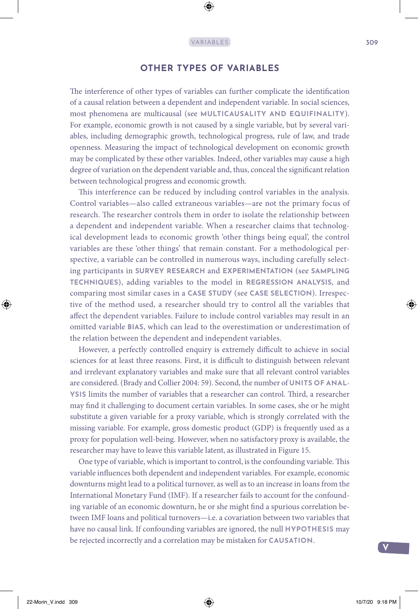### **OTHER TYPES OF VARIABLES**

The interference of other types of variables can further complicate the identification of a causal relation between a dependent and independent variable. In social sciences, most phenomena are multicausal (see **MULTICAUSALITY AND EQUIFINALITY**). For example, economic growth is not caused by a single variable, but by several variables, including demographic growth, technological progress, rule of law, and trade openness. Measuring the impact of technological development on economic growth may be complicated by these other variables. Indeed, other variables may cause a high degree of variation on the dependent variable and, thus, conceal the signifcant relation between technological progress and economic growth.

This interference can be reduced by including control variables in the analysis. Control variables—also called extraneous variables—are not the primary focus of research. The researcher controls them in order to isolate the relationship between a dependent and independent variable. When a researcher claims that technological development leads to economic growth 'other things being equal', the control variables are these 'other things' that remain constant. For a methodological perspective, a variable can be controlled in numerous ways, including carefully selecting participants in **SURVEY RESEARCH** and **EXPERIMENTATION** (see **SAMPLING TECHNIQUES**), adding variables to the model in **REGRESSION ANALYSIS**, and comparing most similar cases in a **CASE STUDY** (see **CASE SELECTION**). Irrespective of the method used, a researcher should try to control all the variables that afect the dependent variables. Failure to include control variables may result in an omitted variable **BIAS**, which can lead to the overestimation or underestimation of the relation between the dependent and independent variables.

However, a perfectly controlled enquiry is extremely difficult to achieve in social sciences for at least three reasons. First, it is difficult to distinguish between relevant and irrelevant explanatory variables and make sure that all relevant control variables are considered. (Brady and Collier 2004: 59). Second, the number of **UNITS OF ANAL-**YSIS limits the number of variables that a researcher can control. Third, a researcher may fnd it challenging to document certain variables. In some cases, she or he might substitute a given variable for a proxy variable, which is strongly correlated with the missing variable. For example, gross domestic product (GDP) is frequently used as a proxy for population well-being. However, when no satisfactory proxy is available, the researcher may have to leave this variable latent, as illustrated in Figure 15.

One type of variable, which is important to control, is the confounding variable. This variable infuences both dependent and independent variables. For example, economic downturns might lead to a political turnover, as well as to an increase in loans from the International Monetary Fund (IMF). If a researcher fails to account for the confounding variable of an economic downturn, he or she might fnd a spurious correlation between IMF loans and political turnovers—i.e. a covariation between two variables that have no causal link. If confounding variables are ignored, the null **HYPOTHESIS** may be rejected incorrectly and a correlation may be mistaken for **CAUSATION**.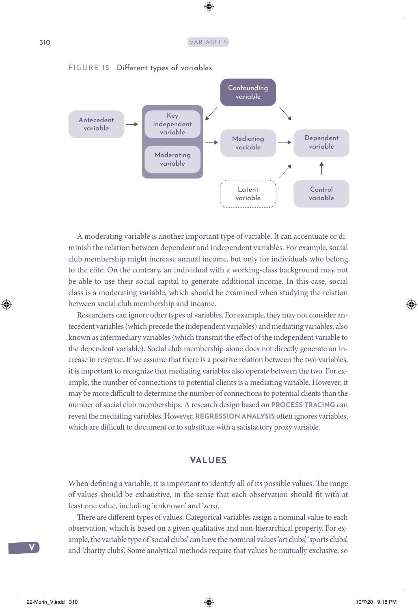

A moderating variable is another important type of variable. It can accentuate or diminish the relation between dependent and independent variables. For example, social club membership might increase annual income, but only for individuals who belong to the elite. On the contrary, an individual with a working-class background may not be able to use their social capital to generate additional income. In this case, social class is a moderating variable, which should be examined when studying the relation between social club membership and income.

Researchers can ignore other types of variables. For example, they may not consider antecedent variables (which precede the independent variables) and mediating variables, also known as intermediary variables (which transmit the efect of the independent variable to the dependent variable). Social club membership alone does not directly generate an increase in revenue. If we assume that there is a positive relation between the two variables, it is important to recognize that mediating variables also operate between the two. For example, the number of connections to potential clients is a mediating variable. However, it may be more difficult to determine the number of connections to potential clients than the number of social club memberships. A research design based on **PROCESS TRACING** can reveal the mediating variables. However, **REGRESSION ANALYSIS** ofen ignores variables, which are difficult to document or to substitute with a satisfactory proxy variable.

#### **VALUES**

When defining a variable, it is important to identify all of its possible values. The range of values should be exhaustive, in the sense that each observation should ft with at least one value, including 'unknown' and 'zero'.

There are different types of values. Categorical variables assign a nominal value to each observation, which is based on a given qualitative and non-hierarchical property. For example, the variable type of 'social clubs' can have the nominal values 'art clubs', 'sports clubs', and 'charity clubs'. Some analytical methods require that values be mutually exclusive, so

**V**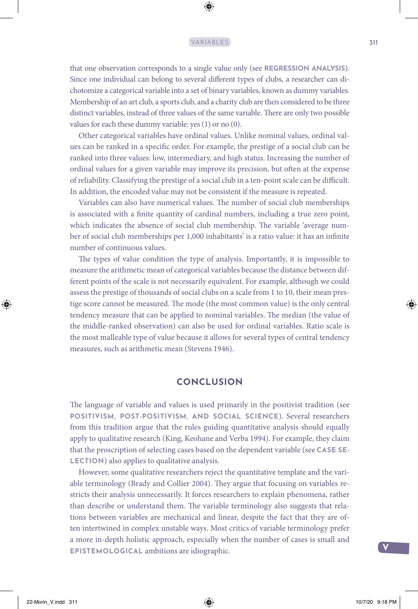#### VARIABLES 311

that one observation corresponds to a single value only (see **REGRESSION ANALYSIS**). Since one individual can belong to several diferent types of clubs, a researcher can dichotomize a categorical variable into a set of binary variables, known as dummy variables. Membership of an art club, a sports club, and a charity club are then considered to be three distinct variables, instead of three values of the same variable. There are only two possible values for each these dummy variable: yes (1) or no (0).

Other categorical variables have ordinal values. Unlike nominal values, ordinal values can be ranked in a specifc order. For example, the prestige of a social club can be ranked into three values: low, intermediary, and high status. Increasing the number of ordinal values for a given variable may improve its precision, but ofen at the expense of reliability. Classifying the prestige of a social club in a ten-point scale can be difcult. In addition, the encoded value may not be consistent if the measure is repeated.

Variables can also have numerical values. The number of social club memberships is associated with a fnite quantity of cardinal numbers, including a true zero point, which indicates the absence of social club membership. The variable 'average number of social club memberships per 1,000 inhabitants' is a ratio value: it has an infnite number of continuous values.

The types of value condition the type of analysis. Importantly, it is impossible to measure the arithmetic mean of categorical variables because the distance between different points of the scale is not necessarily equivalent. For example, although we could assess the prestige of thousands of social clubs on a scale from 1 to 10, their mean prestige score cannot be measured. The mode (the most common value) is the only central tendency measure that can be applied to nominal variables. The median (the value of the middle-ranked observation) can also be used for ordinal variables. Ratio scale is the most malleable type of value because it allows for several types of central tendency measures, such as arithmetic mean (Stevens 1946).

#### **CONCLUSION**

The language of variable and values is used primarily in the positivist tradition (see **POSITIVISM, POST-POSITIVISM, AND SOCIAL SCIENCE**). Several researchers from this tradition argue that the rules guiding quantitative analysis should equally apply to qualitative research (King, Keohane and Verba 1994). For example, they claim that the proscription of selecting cases based on the dependent variable (see **CASE SE-LECTION**) also applies to qualitative analysis.

However, some qualitative researchers reject the quantitative template and the variable terminology (Brady and Collier 2004). They argue that focusing on variables restricts their analysis unnecessarily. It forces researchers to explain phenomena, rather than describe or understand them. The variable terminology also suggests that relations between variables are mechanical and linear, despite the fact that they are often intertwined in complex unstable ways. Most critics of variable terminology prefer a more in-depth holistic approach, especially when the number of cases is small and **EPISTEMOLOGICAL** ambitions are idiographic.

**V**